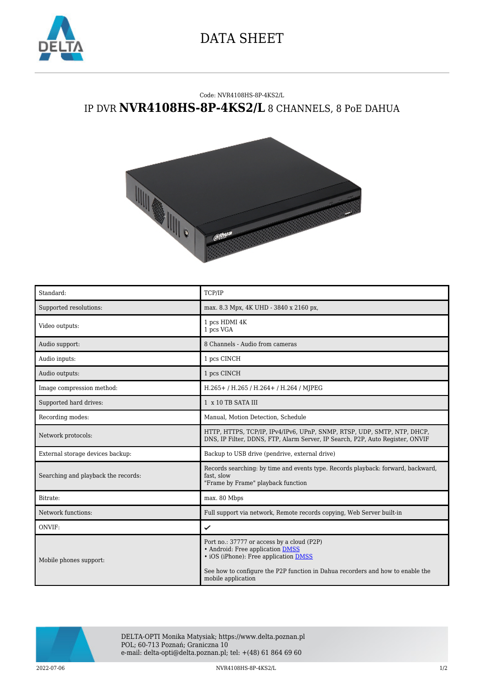

## DATA SHEET

## Code: NVR4108HS-8P-4KS2/L IP DVR **NVR4108HS-8P-4KS2/L** 8 CHANNELS, 8 PoE DAHUA



| Standard:                           | TCP/IP                                                                                                                                                                                                                                 |
|-------------------------------------|----------------------------------------------------------------------------------------------------------------------------------------------------------------------------------------------------------------------------------------|
| Supported resolutions:              | max. 8.3 Mpx, 4K UHD - 3840 x 2160 px,                                                                                                                                                                                                 |
| Video outputs:                      | 1 pcs HDMI 4K<br>1 pcs VGA                                                                                                                                                                                                             |
| Audio support:                      | 8 Channels - Audio from cameras                                                                                                                                                                                                        |
| Audio inputs:                       | 1 pcs CINCH                                                                                                                                                                                                                            |
| Audio outputs:                      | 1 pcs CINCH                                                                                                                                                                                                                            |
| Image compression method:           | H.265+/H.265/H.264+/H.264/MJPEG                                                                                                                                                                                                        |
| Supported hard drives:              | 1 x 10 TB SATA III                                                                                                                                                                                                                     |
| Recording modes:                    | Manual, Motion Detection, Schedule                                                                                                                                                                                                     |
| Network protocols:                  | HTTP, HTTPS, TCP/IP, IPv4/IPv6, UPnP, SNMP, RTSP, UDP, SMTP, NTP, DHCP,<br>DNS, IP Filter, DDNS, FTP, Alarm Server, IP Search, P2P, Auto Register, ONVIF                                                                               |
| External storage devices backup:    | Backup to USB drive (pendrive, external drive)                                                                                                                                                                                         |
| Searching and playback the records: | Records searching: by time and events type. Records playback: forward, backward,<br>fast, slow<br>"Frame by Frame" playback function                                                                                                   |
| Bitrate:                            | max. 80 Mbps                                                                                                                                                                                                                           |
| Network functions:                  | Full support via network, Remote records copying, Web Server built-in                                                                                                                                                                  |
| ONVIF:                              | ✓                                                                                                                                                                                                                                      |
| Mobile phones support:              | Port no.: 37777 or access by a cloud (P2P)<br>• Android: Free application DMSS<br>• iOS (iPhone): Free application <b>DMSS</b><br>See how to configure the P2P function in Dahua recorders and how to enable the<br>mobile application |



DELTA-OPTI Monika Matysiak; https://www.delta.poznan.pl POL; 60-713 Poznań; Graniczna 10 e-mail: delta-opti@delta.poznan.pl; tel: +(48) 61 864 69 60

2022-07-06 NVR4108HS-8P-4KS2/L 1/2